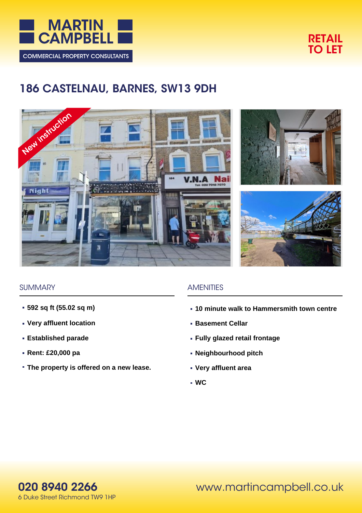

**RETAIL TO LET**

# **186 CASTELNAU, BARNES, SW13 9DH**







## **SUMMARY**

- **592 sq ft (55.02 sq m)**
- **Very affluent location**
- **Established parade**
- **Rent: £20,000 pa**
- **The property is offered on a new lease.**

## AMENITIES

- **10 minute walk to Hammersmith town centre**
- **Basement Cellar**
- **Fully glazed retail frontage**
- **Neighbourhood pitch**
- **Very affluent area**
- **WC**

**020 8940 2266** 6 Duke Street Richmond TW9 1HP www.martincampbell.co.uk